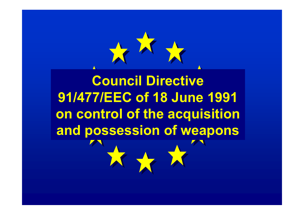**Council Directive 91/477/EEC of 18 June 1991 on control of the acquisition and possession of weapons**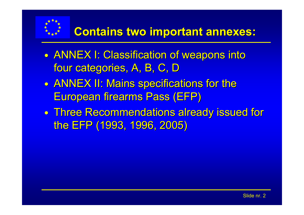

- $\bullet$ • ANNEX I: Classification of weapons into four categories, A, B, C, D
- $\bullet$ • ANNEX II: Mains specifications for the European firearms Pass (EFP)
- $\bullet$  $\bullet$  Three Recommendations already issued for the EFP (1993, 1996, 2005)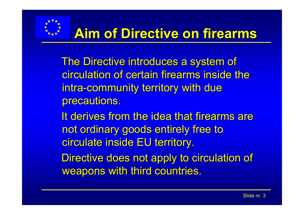

# **Aim of Directive on firearms**

The Directive introduces a system of circulation of certain firearms inside the circulation of certain firearms inside the intra-community territory with due precautions.

It derives from the idea that firearms are not ordinary goods entirely free to circulate inside EU territory.

Directive does not apply to circulation of weapons with third countries.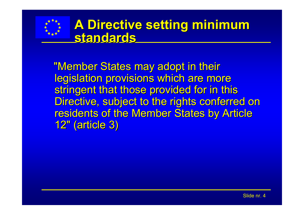

## **A Directive setting minimum standards standards**

"Member States may adopt in their legislation provisions which are more stringent that those provided for in this Directive, subject to the rights conferred on residents of the Member States by Article 12" (article 3)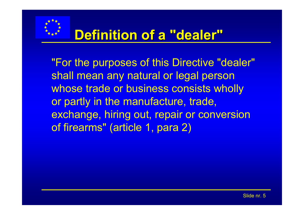

## **Definition of a "dealer" Definition of a "dealer"**

"For the purposes of this Directive "dealer" shall mean any natural or legal person whose trade or business consists wholly or partly in the manufacture, trade, exchange, hiring out, repair or conversion of firearms" (article 1, para 2)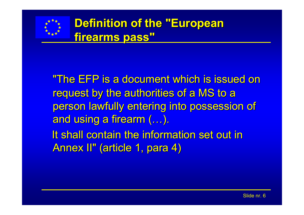

"The EFP is a document which is issued on request by the authorities of a MS to a person lawfully entering into possession of and using a firearm (…). It shall contain the information set out in

Annex II" (article 1, para 4)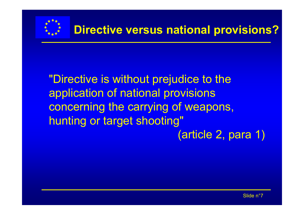

"Directive is without prejudice to the application of national provisions concerning the carrying of weapons, hunting or target shooting" (article 2, para 1)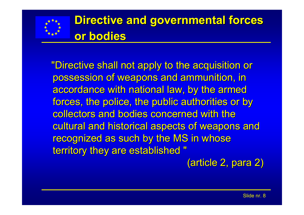

"Directive shall not apply to the acquisition or "Directive shall not apply to the acquisition or possession of weapons and ammunition, in accordance with national law, by the armed forces, the police, the public authorities or by collectors and bodies concerned with the cultural and historical aspects of weapons and recognized as such by the MS in whose territory they are established "

(article 2, para 2)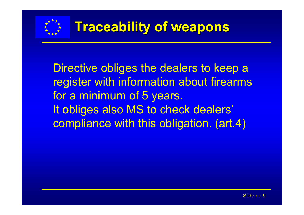

Directive obliges the dealers to keep a register with information about firearms for a minimum of 5 years. It obliges also MS to check dealers' compliance with this obligation. (art.4)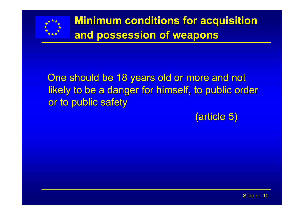

#### One should be 18 years old or more and not likely to be a danger for himself, to public order or to public safety

(article 5)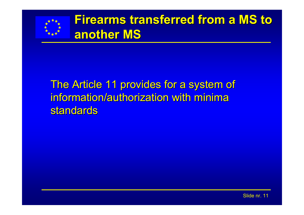

## **Firearms transferred from a MS to another MS another MS**

#### The Article 11 provides for a system of information/authorization with minima standards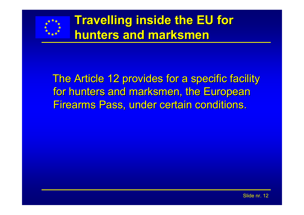

## **Travelling inside the EU for hunters and marksmen**

#### The Article 12 provides for a specific facility for hunters and marksmen, the European Firearms Pass, under certain conditions.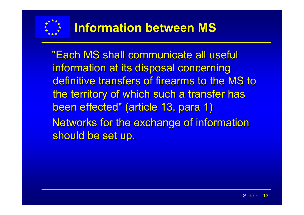

"Each MS shall communicate all useful "Each MS shall communicate all useful information at its disposal concerning definitive transfers of firearms to the MS to the territory of which such a transfer has been effected" (article 13, para 1) Networks for the exchange of information should be set up.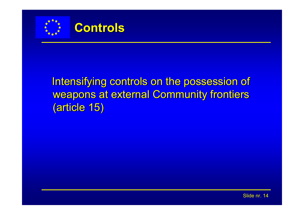



## Intensifying controls on the possession of weapons at external Community frontiers (article 15)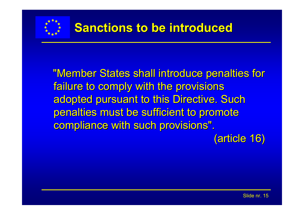

"Member States shall introduce penalties for failure to comply with the provisions adopted pursuant to this Directive. Such penalties must be sufficient to promote compliance with such provisions".

(article 16)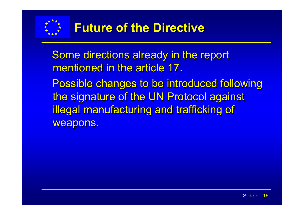

Some directions already in the report mentioned in the article 17.

Possible changes to be introduced following the signature of the UN Protocol against illegal manufacturing and trafficking of weapons.